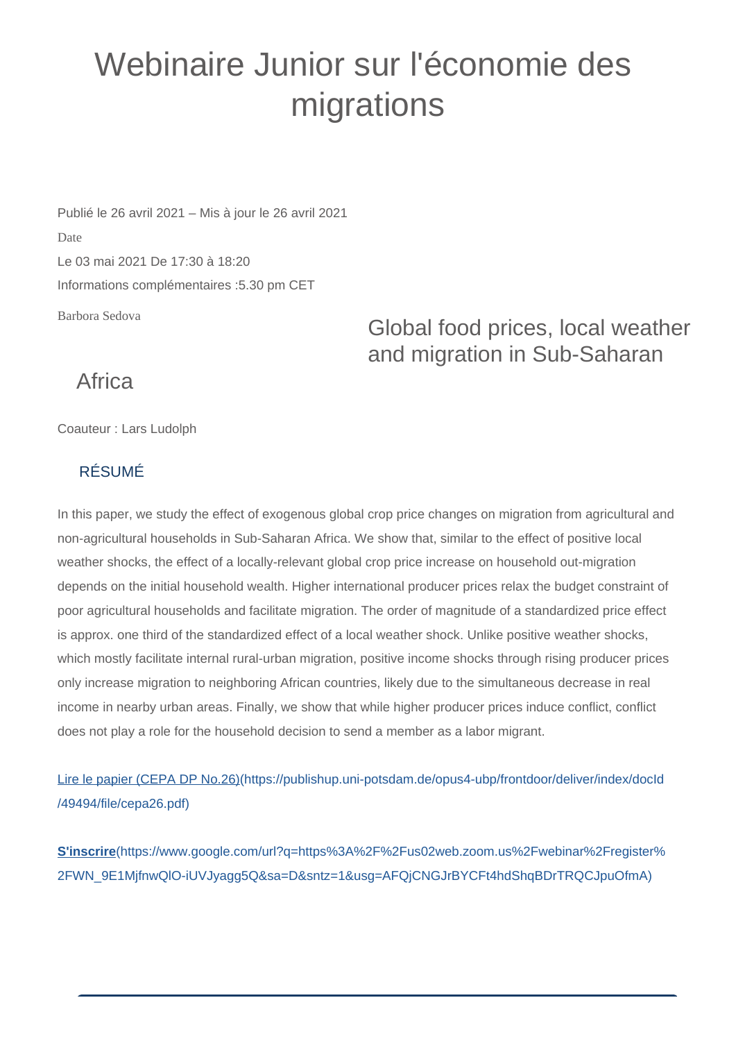## Webinaire Junior sur l'économie des migrations

Barbora Sedova Publié le 26 avril 2021 – Mis à jour le 26 avril 2021 Date Le 03 mai 2021 De 17:30 à 18:20 Informations complémentaires :5.30 pm CET

Global food prices, local weather and migration in Sub-Saharan

## **Africa**

Coauteur : Lars Ludolph

## RÉSUMÉ

In this paper, we study the effect of exogenous global crop price changes on migration from agricultural and non-agricultural households in Sub-Saharan Africa. We show that, similar to the effect of positive local weather shocks, the effect of a locally-relevant global crop price increase on household out-migration depends on the initial household wealth. Higher international producer prices relax the budget constraint of poor agricultural households and facilitate migration. The order of magnitude of a standardized price effect is approx. one third of the standardized effect of a local weather shock. Unlike positive weather shocks, which mostly facilitate internal rural-urban migration, positive income shocks through rising producer prices only increase migration to neighboring African countries, likely due to the simultaneous decrease in real income in nearby urban areas. Finally, we show that while higher producer prices induce conflict, conflict does not play a role for the household decision to send a member as a labor migrant.

[Lire le papier \(CEPA DP No.26\)\(https://publishup.uni-potsdam.de/opus4-ubp/frontdoor/deliver/index/docId](https://publishup.uni-potsdam.de/opus4-ubp/frontdoor/deliver/index/docId/49494/file/cepa26.pdf) [/49494/file/cepa26.pdf\)](https://publishup.uni-potsdam.de/opus4-ubp/frontdoor/deliver/index/docId/49494/file/cepa26.pdf)

**S'inscrire**[\(https://www.google.com/url?q=https%3A%2F%2Fus02web.zoom.us%2Fwebinar%2Fregister%](https://www.google.com/url?q=https%3A%2F%2Fus02web.zoom.us%2Fwebinar%2Fregister%2FWN_9E1MjfnwQlO-iUVJyagg5Q&sa=D&sntz=1&usg=AFQjCNGJrBYCFt4hdShqBDrTRQCJpuOfmA) [2FWN\\_9E1MjfnwQlO-iUVJyagg5Q&sa=D&sntz=1&usg=AFQjCNGJrBYCFt4hdShqBDrTRQCJpuOfmA\)](https://www.google.com/url?q=https%3A%2F%2Fus02web.zoom.us%2Fwebinar%2Fregister%2FWN_9E1MjfnwQlO-iUVJyagg5Q&sa=D&sntz=1&usg=AFQjCNGJrBYCFt4hdShqBDrTRQCJpuOfmA)